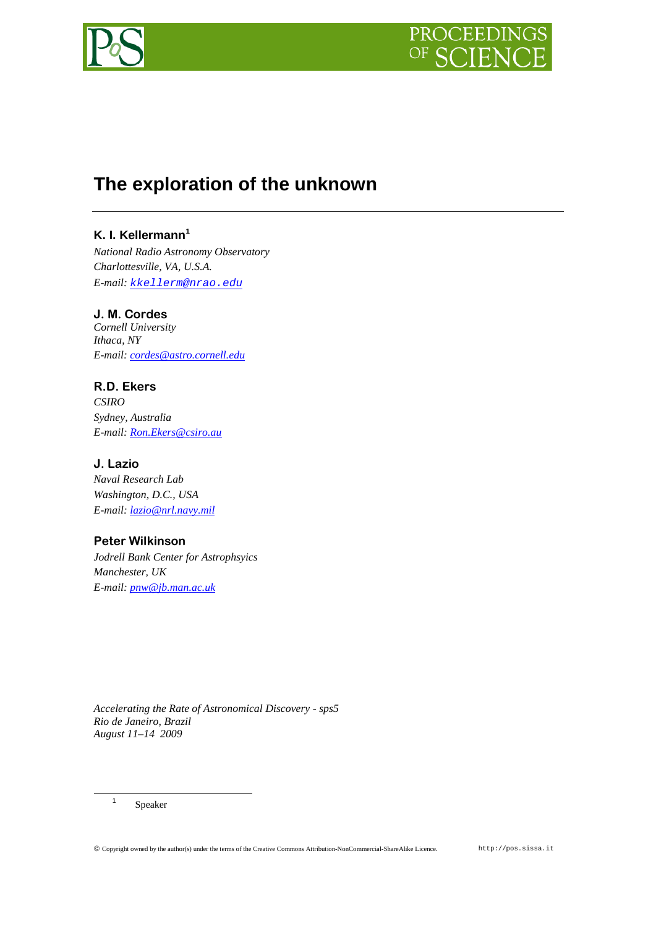

# **The exploration of the unknown**

## **K. I. Kellermann[1](#page-0-0)**

*National Radio Astronomy Observatory Charlottesville, VA, U.S.A. E-mail: [kkellerm@nrao.edu](mailto:kkellerm@nrao.edu)*

## **J. M. Cordes**

*Cornell University Ithaca, NY E-mail: [cordes@astro.cornell.edu](mailto:cordes@astro.cornell.edu)*

## **R.D. Ekers**

*CSIRO Sydney, Australia E-mail: [Ron.Ekers@csiro.au](mailto:Ron.Ekers@csiro.au)*

## **J. Lazio**

*Naval Research Lab Washington, D.C., USA E-mail: [lazio@nrl.navy.mil](mailto:lazio@nrl.navy.mil)*

## **Peter Wilkinson**

*Jodrell Bank Center for Astrophsyics Manchester, UK E-mail: [pnw@jb.man.ac.uk](mailto:pnw@jb.man.ac.uk)*

*Accelerating the Rate of Astronomical Discovery - sps5 Rio de Janeiro, Brazil August 11–14 2009*

<span id="page-0-0"></span><sup>1</sup> Speaker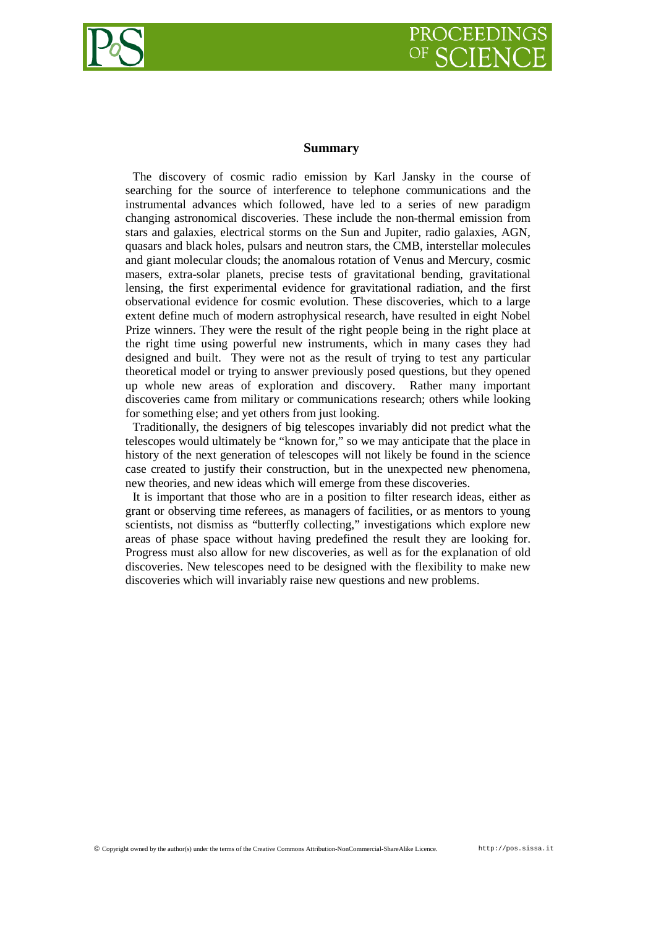

#### **Summary**

The discovery of cosmic radio emission by Karl Jansky in the course of searching for the source of interference to telephone communications and the instrumental advances which followed, have led to a series of new paradigm changing astronomical discoveries. These include the non-thermal emission from stars and galaxies, electrical storms on the Sun and Jupiter, radio galaxies, AGN, quasars and black holes, pulsars and neutron stars, the CMB, interstellar molecules and giant molecular clouds; the anomalous rotation of Venus and Mercury, cosmic masers, extra-solar planets, precise tests of gravitational bending, gravitational lensing, the first experimental evidence for gravitational radiation, and the first observational evidence for cosmic evolution. These discoveries, which to a large extent define much of modern astrophysical research, have resulted in eight Nobel Prize winners. They were the result of the right people being in the right place at the right time using powerful new instruments, which in many cases they had designed and built. They were not as the result of trying to test any particular theoretical model or trying to answer previously posed questions, but they opened up whole new areas of exploration and discovery. Rather many important discoveries came from military or communications research; others while looking for something else; and yet others from just looking.

Traditionally, the designers of big telescopes invariably did not predict what the telescopes would ultimately be "known for," so we may anticipate that the place in history of the next generation of telescopes will not likely be found in the science case created to justify their construction, but in the unexpected new phenomena, new theories, and new ideas which will emerge from these discoveries.

It is important that those who are in a position to filter research ideas, either as grant or observing time referees, as managers of facilities, or as mentors to young scientists, not dismiss as "butterfly collecting," investigations which explore new areas of phase space without having predefined the result they are looking for. Progress must also allow for new discoveries, as well as for the explanation of old discoveries. New telescopes need to be designed with the flexibility to make new discoveries which will invariably raise new questions and new problems.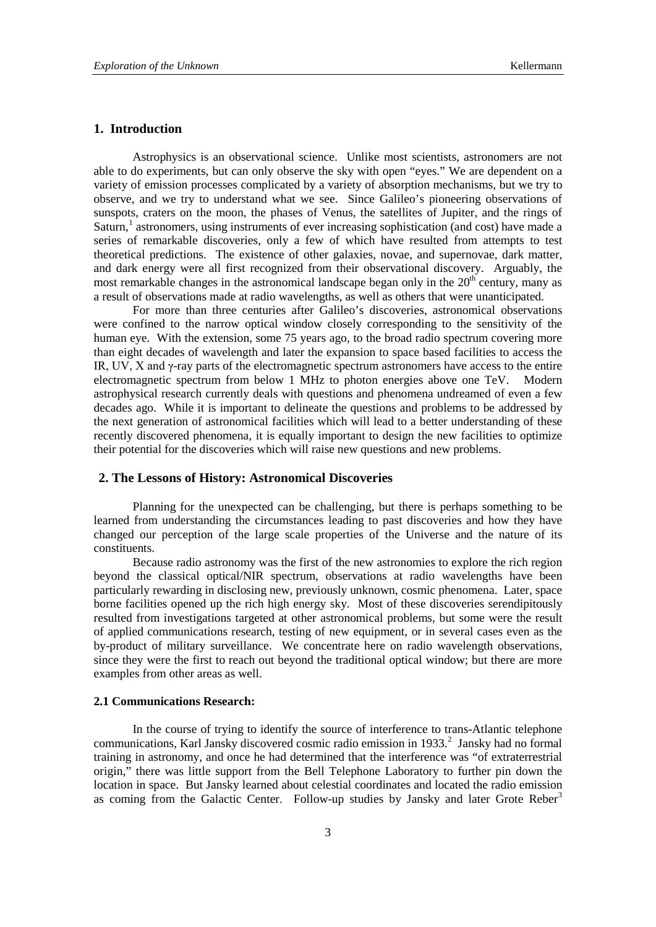### **1. Introduction**

Astrophysics is an observational science. Unlike most scientists, astronomers are not able to do experiments, but can only observe the sky with open "eyes." We are dependent on a variety of emission processes complicated by a variety of absorption mechanisms, but we try to observe, and we try to understand what we see. Since Galileo's pioneering observations of sunspots, craters on the moon, the phases of Venus, the satellites of Jupiter, and the rings of Saturn,<sup>[1](#page-9-0)</sup> astronomers, using instruments of ever increasing sophistication (and cost) have made a series of remarkable discoveries, only a few of which have resulted from attempts to test theoretical predictions. The existence of other galaxies, novae, and supernovae, dark matter, and dark energy were all first recognized from their observational discovery. Arguably, the most remarkable changes in the astronomical landscape began only in the  $20<sup>th</sup>$  century, many as a result of observations made at radio wavelengths, as well as others that were unanticipated.

For more than three centuries after Galileo's discoveries, astronomical observations were confined to the narrow optical window closely corresponding to the sensitivity of the human eye. With the extension, some 75 years ago, to the broad radio spectrum covering more than eight decades of wavelength and later the expansion to space based facilities to access the IR, UV, X and  $\gamma$ -ray parts of the electromagnetic spectrum astronomers have access to the entire electromagnetic spectrum from below 1 MHz to photon energies above one TeV. Modern astrophysical research currently deals with questions and phenomena undreamed of even a few decades ago. While it is important to delineate the questions and problems to be addressed by the next generation of astronomical facilities which will lead to a better understanding of these recently discovered phenomena, it is equally important to design the new facilities to optimize their potential for the discoveries which will raise new questions and new problems.

#### **2. The Lessons of History: Astronomical Discoveries**

Planning for the unexpected can be challenging, but there is perhaps something to be learned from understanding the circumstances leading to past discoveries and how they have changed our perception of the large scale properties of the Universe and the nature of its constituents.

Because radio astronomy was the first of the new astronomies to explore the rich region beyond the classical optical/NIR spectrum, observations at radio wavelengths have been particularly rewarding in disclosing new, previously unknown, cosmic phenomena. Later, space borne facilities opened up the rich high energy sky. Most of these discoveries serendipitously resulted from investigations targeted at other astronomical problems, but some were the result of applied communications research, testing of new equipment, or in several cases even as the by-product of military surveillance. We concentrate here on radio wavelength observations, since they were the first to reach out beyond the traditional optical window; but there are more examples from other areas as well.

#### **2.1 Communications Research:**

In the course of trying to identify the source of interference to trans-Atlantic telephone communications, Karl Jansky discovered cosmic radio emission in 1933. [2](#page-9-1) Jansky had no formal training in astronomy, and once he had determined that the interference was "of extraterrestrial origin," there was little support from the Bell Telephone Laboratory to further pin down the location in space. But Jansky learned about celestial coordinates and located the radio emission as coming from the Galactic Center. Follow-up studies by Jansky and later Grote Reber<sup>[3](#page-9-2)</sup>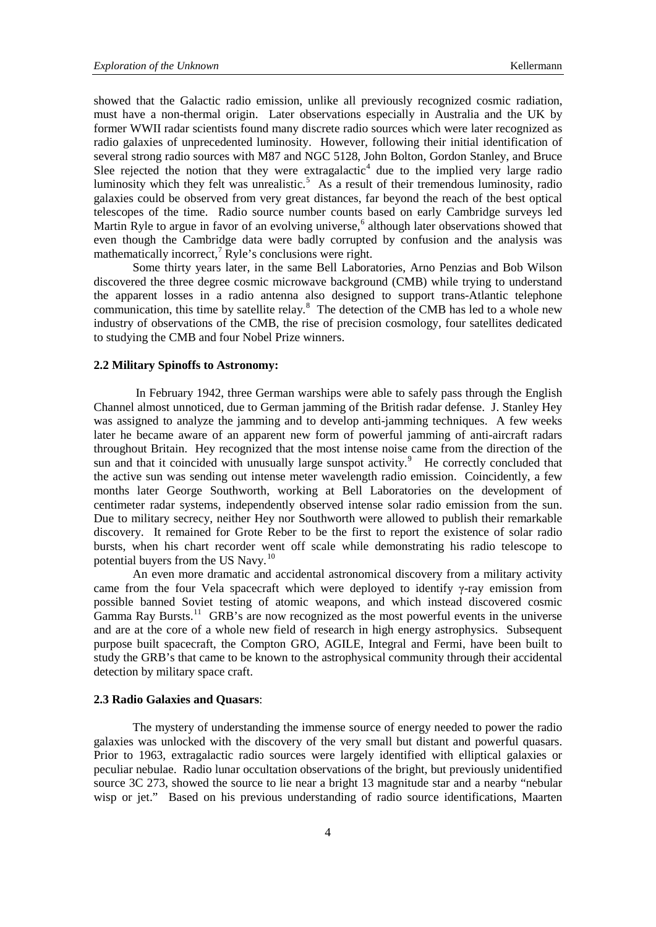showed that the Galactic radio emission, unlike all previously recognized cosmic radiation, must have a non-thermal origin. Later observations especially in Australia and the UK by former WWII radar scientists found many discrete radio sources which were later recognized as radio galaxies of unprecedented luminosity. However, following their initial identification of several strong radio sources with M87 and NGC 5128, John Bolton, Gordon Stanley, and Bruce Slee rejected the notion that they were extragalactic<sup>[4](#page-9-3)</sup> due to the implied very large radio luminosity which they felt was unrealistic.<sup>[5](#page-9-4)</sup> As a result of their tremendous luminosity, radio galaxies could be observed from very great distances, far beyond the reach of the best optical telescopes of the time. Radio source number counts based on early Cambridge surveys led Martin Ryle to argue in favor of an evolving universe,<sup>[6](#page-9-5)</sup> although later observations showed that even though the Cambridge data were badly corrupted by confusion and the analysis was mathematically incorrect,<sup>[7](#page-9-6)</sup> Ryle's conclusions were right.

Some thirty years later, in the same Bell Laboratories, Arno Penzias and Bob Wilson discovered the three degree cosmic microwave background (CMB) while trying to understand the apparent losses in a radio antenna also designed to support trans-Atlantic telephone communication, this time by satellite relay.<sup>[8](#page-9-7)</sup> The detection of the CMB has led to a whole new industry of observations of the CMB, the rise of precision cosmology, four satellites dedicated to studying the CMB and four Nobel Prize winners.

#### **2.2 Military Spinoffs to Astronomy:**

In February 1942, three German warships were able to safely pass through the English Channel almost unnoticed, due to German jamming of the British radar defense. J. Stanley Hey was assigned to analyze the jamming and to develop anti-jamming techniques. A few weeks later he became aware of an apparent new form of powerful jamming of anti-aircraft radars throughout Britain. Hey recognized that the most intense noise came from the direction of the sun and that it coincided with unusually large sunspot activity.<sup>[9](#page-9-8)</sup> He correctly concluded that the active sun was sending out intense meter wavelength radio emission. Coincidently, a few months later George Southworth, working at Bell Laboratories on the development of centimeter radar systems, independently observed intense solar radio emission from the sun. Due to military secrecy, neither Hey nor Southworth were allowed to publish their remarkable discovery. It remained for Grote Reber to be the first to report the existence of solar radio bursts, when his chart recorder went off scale while demonstrating his radio telescope to potential buyers from the US Navy.<sup>[10](#page-9-9)</sup>

An even more dramatic and accidental astronomical discovery from a military activity came from the four Vela spacecraft which were deployed to identify γ-ray emission from possible banned Soviet testing of atomic weapons, and which instead discovered cosmic Gamma Ray Bursts.<sup>11</sup> GRB's are now recognized as the most powerful events in the universe and are at the core of a whole new field of research in high energy astrophysics. Subsequent purpose built spacecraft, the Compton GRO, AGILE, Integral and Fermi, have been built to study the GRB's that came to be known to the astrophysical community through their accidental detection by military space craft.

#### **2.3 Radio Galaxies and Quasars**:

The mystery of understanding the immense source of energy needed to power the radio galaxies was unlocked with the discovery of the very small but distant and powerful quasars. Prior to 1963, extragalactic radio sources were largely identified with elliptical galaxies or peculiar nebulae. Radio lunar occultation observations of the bright, but previously unidentified source 3C 273, showed the source to lie near a bright 13 magnitude star and a nearby "nebular wisp or jet." Based on his previous understanding of radio source identifications, Maarten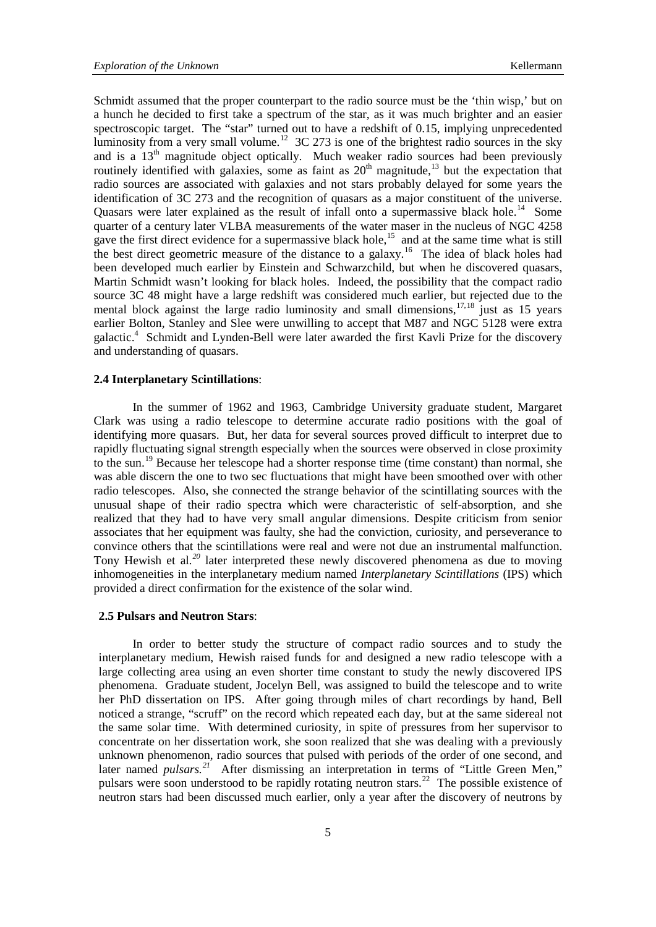Schmidt assumed that the proper counterpart to the radio source must be the 'thin wisp,' but on a hunch he decided to first take a spectrum of the star, as it was much brighter and an easier spectroscopic target. The "star" turned out to have a redshift of 0.15, implying unprecedented luminosity from a very small volume.<sup>[12](#page-9-11)</sup> 3C 273 is one of the brightest radio sources in the sky and is a  $13<sup>th</sup>$  magnitude object optically. Much weaker radio sources had been previously routinely identified with galaxies, some as faint as  $20<sup>th</sup>$  magnitude,<sup>[13](#page-9-12)</sup> but the expectation that radio sources are associated with galaxies and not stars probably delayed for some years the identification of 3C 273 and the recognition of quasars as a major constituent of the universe. Quasars were later explained as the result of infall onto a supermassive black hole.<sup>[14](#page-9-13)</sup> Some quarter of a century later VLBA measurements of the water maser in the nucleus of NGC 4258 gave the first direct evidence for a supermassive black hole,<sup>[15](#page-9-14)</sup> and at the same time what is still the best direct geometric measure of the distance to a galaxy.<sup>[16](#page-9-15)</sup> The idea of black holes had been developed much earlier by Einstein and Schwarzchild, but when he discovered quasars, Martin Schmidt wasn't looking for black holes. Indeed, the possibility that the compact radio source 3C 48 might have a large redshift was considered much earlier, but rejected due to the mental block against the large radio luminosity and small dimensions,  $17,18$  $17,18$  $17,18$  just as 15 years earlier Bolton, Stanley and Slee were unwilling to accept that M87 and NGC 5128 were extra galactic.4 Schmidt and Lynden-Bell were later awarded the first Kavli Prize for the discovery and understanding of quasars.

#### **2.4 Interplanetary Scintillations**:

In the summer of 1962 and 1963, Cambridge University graduate student, Margaret Clark was using a radio telescope to determine accurate radio positions with the goal of identifying more quasars. But, her data for several sources proved difficult to interpret due to rapidly fluctuating signal strength especially when the sources were observed in close proximity to the sun. [19](#page-10-1) Because her telescope had a shorter response time (time constant) than normal, she was able discern the one to two sec fluctuations that might have been smoothed over with other radio telescopes. Also, she connected the strange behavior of the scintillating sources with the unusual shape of their radio spectra which were characteristic of self-absorption, and she realized that they had to have very small angular dimensions. Despite criticism from senior associates that her equipment was faulty, she had the conviction, curiosity, and perseverance to convince others that the scintillations were real and were not due an instrumental malfunction. Tony Hewish et al*. [20](#page-10-2)* later interpreted these newly discovered phenomena as due to moving inhomogeneities in the interplanetary medium named *Interplanetary Scintillations* (IPS) which provided a direct confirmation for the existence of the solar wind.

#### **2.5 Pulsars and Neutron Stars**:

In order to better study the structure of compact radio sources and to study the interplanetary medium, Hewish raised funds for and designed a new radio telescope with a large collecting area using an even shorter time constant to study the newly discovered IPS phenomena. Graduate student, Jocelyn Bell, was assigned to build the telescope and to write her PhD dissertation on IPS. After going through miles of chart recordings by hand, Bell noticed a strange, "scruff" on the record which repeated each day, but at the same sidereal not the same solar time. With determined curiosity, in spite of pressures from her supervisor to concentrate on her dissertation work, she soon realized that she was dealing with a previously unknown phenomenon, radio sources that pulsed with periods of the order of one second, and later named *pulsars.<sup>[21](#page-10-3)</sup>* After dismissing an interpretation in terms of "Little Green Men," pulsars were soon understood to be rapidly rotating neutron stars.<sup>[22](#page-10-4)</sup> The possible existence of neutron stars had been discussed much earlier, only a year after the discovery of neutrons by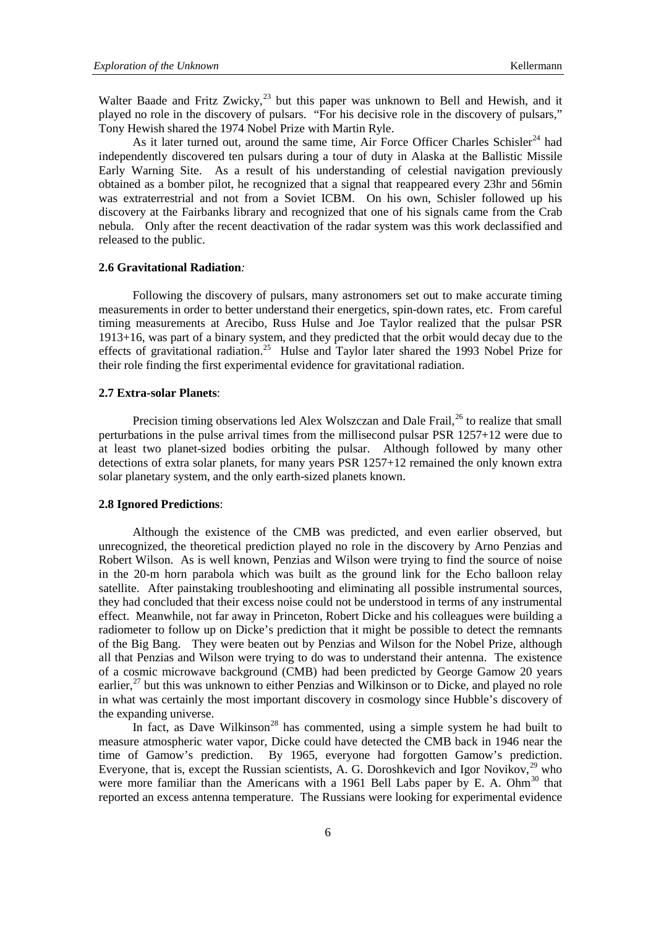Walter Baade and Fritz Zwicky,<sup>[23](#page-10-5)</sup> but this paper was unknown to Bell and Hewish, and it played no role in the discovery of pulsars."For his decisive role in the discovery of pulsars," Tony Hewish shared the 1974 Nobel Prize with Martin Ryle.

As it later turned out, around the same time, Air Force Officer Charles Schisler<sup>[24](#page-10-6)</sup> had independently discovered ten pulsars during a tour of duty in Alaska at the Ballistic Missile Early Warning Site. As a result of his understanding of celestial navigation previously obtained as a bomber pilot, he recognized that a signal that reappeared every 23hr and 56min was extraterrestrial and not from a Soviet ICBM. On his own, Schisler followed up his discovery at the Fairbanks library and recognized that one of his signals came from the Crab nebula. Only after the recent deactivation of the radar system was this work declassified and released to the public.

#### **2.6 Gravitational Radiation***:*

Following the discovery of pulsars, many astronomers set out to make accurate timing measurements in order to better understand their energetics, spin-down rates, etc. From careful timing measurements at Arecibo, Russ Hulse and Joe Taylor realized that the pulsar PSR 1913+16, was part of a binary system, and they predicted that the orbit would decay due to the effects of gravitational radiation.<sup>25</sup> Hulse and Taylor later shared the 1993 Nobel Prize for their role finding the first experimental evidence for gravitational radiation.

## **2.7 Extra-solar Planets**:

Precision timing observations led Alex Wolszczan and Dale Frail,<sup>[26](#page-10-8)</sup> to realize that small perturbations in the pulse arrival times from the millisecond pulsar PSR 1257+12 were due to at least two planet-sized bodies orbiting the pulsar. Although followed by many other detections of extra solar planets, for many years PSR 1257+12 remained the only known extra solar planetary system, and the only earth-sized planets known.

#### **2.8 Ignored Predictions**:

Although the existence of the CMB was predicted, and even earlier observed, but unrecognized, the theoretical prediction played no role in the discovery by Arno Penzias and Robert Wilson. As is well known, Penzias and Wilson were trying to find the source of noise in the 20-m horn parabola which was built as the ground link for the Echo balloon relay satellite. After painstaking troubleshooting and eliminating all possible instrumental sources, they had concluded that their excess noise could not be understood in terms of any instrumental effect. Meanwhile, not far away in Princeton, Robert Dicke and his colleagues were building a radiometer to follow up on Dicke's prediction that it might be possible to detect the remnants of the Big Bang. They were beaten out by Penzias and Wilson for the Nobel Prize, although all that Penzias and Wilson were trying to do was to understand their antenna. The existence of a cosmic microwave background (CMB) had been predicted by George Gamow 20 years earlier,<sup>[27](#page-10-9)</sup> but this was unknown to either Penzias and Wilkinson or to Dicke, and played no role in what was certainly the most important discovery in cosmology since Hubble's discovery of the expanding universe.

In fact, as Dave Wilkinson<sup>[28](#page-10-10)</sup> has commented, using a simple system he had built to measure atmospheric water vapor, Dicke could have detected the CMB back in 1946 near the time of Gamow's prediction. By 1965, everyone had forgotten Gamow's prediction. Everyone, that is, except the Russian scientists, A. G. Doroshkevich and Igor Novikov,  $^{29}$  $^{29}$  $^{29}$  who were more familiar than the Americans with a 1961 Bell Labs paper by E. A. Ohm $^{30}$  $^{30}$  $^{30}$  that reported an excess antenna temperature. The Russians were looking for experimental evidence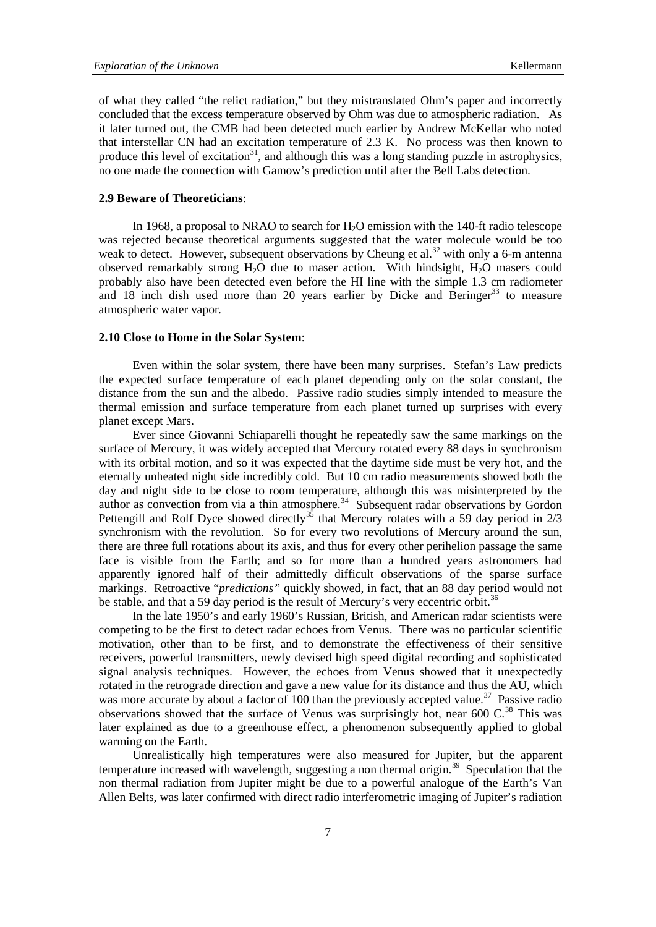of what they called "the relict radiation," but they mistranslated Ohm's paper and incorrectly concluded that the excess temperature observed by Ohm was due to atmospheric radiation. As it later turned out, the CMB had been detected much earlier by Andrew McKellar who noted that interstellar CN had an excitation temperature of 2.3 K. No process was then known to produce this level of excitation<sup>[31](#page-10-13)</sup>, and although this was a long standing puzzle in astrophysics, no one made the connection with Gamow's prediction until after the Bell Labs detection.

### **2.9 Beware of Theoreticians**:

In 1968, a proposal to NRAO to search for  $H<sub>2</sub>O$  emission with the 140-ft radio telescope was rejected because theoretical arguments suggested that the water molecule would be too weak to detect. However, subsequent observations by Cheung et al.<sup>[32](#page-10-14)</sup> with only a 6-m antenna observed remarkably strong  $H_2O$  due to maser action. With hindsight,  $H_2O$  masers could probably also have been detected even before the HI line with the simple 1.3 cm radiometer and  $18$  inch dish used more than 20 years earlier by Dicke and Beringer<sup>[33](#page-10-15)</sup> to measure atmospheric water vapor*.* 

#### **2.10 Close to Home in the Solar System**:

Even within the solar system, there have been many surprises. Stefan's Law predicts the expected surface temperature of each planet depending only on the solar constant, the distance from the sun and the albedo. Passive radio studies simply intended to measure the thermal emission and surface temperature from each planet turned up surprises with every planet except Mars.

Ever since Giovanni Schiaparelli thought he repeatedly saw the same markings on the surface of Mercury, it was widely accepted that Mercury rotated every 88 days in synchronism with its orbital motion, and so it was expected that the daytime side must be very hot, and the eternally unheated night side incredibly cold. But 10 cm radio measurements showed both the day and night side to be close to room temperature, although this was misinterpreted by the author as convection from via a thin atmosphere.<sup>[34](#page-10-16)</sup> Subsequent radar observations by Gordon Pettengill and Rolf Dyce showed directly<sup>[35](#page-10-17)</sup> that Mercury rotates with a 59 day period in  $2/3$ synchronism with the revolution. So for every two revolutions of Mercury around the sun, there are three full rotations about its axis, and thus for every other perihelion passage the same face is visible from the Earth; and so for more than a hundred years astronomers had apparently ignored half of their admittedly difficult observations of the sparse surface markings. Retroactive "*predictions"* quickly showed, in fact, that an 88 day period would not be stable, and that a 59 day period is the result of Mercury's very eccentric orbit.<sup>[36](#page-10-18)</sup>

In the late 1950's and early 1960's Russian, British, and American radar scientists were competing to be the first to detect radar echoes from Venus. There was no particular scientific motivation, other than to be first, and to demonstrate the effectiveness of their sensitive receivers, powerful transmitters, newly devised high speed digital recording and sophisticated signal analysis techniques. However, the echoes from Venus showed that it unexpectedly rotated in the retrograde direction and gave a new value for its distance and thus the AU, which was more accurate by about a factor of 100 than the previously accepted value.<sup>[37](#page-10-19)</sup> Passive radio observations showed that the surface of Venus was surprisingly hot, near 600 C.<sup>[38](#page-10-20)</sup> This was later explained as due to a greenhouse effect, a phenomenon subsequently applied to global warming on the Earth.

Unrealistically high temperatures were also measured for Jupiter, but the apparent temperature increased with wavelength, suggesting a non thermal origin.<sup>[39](#page-10-21)</sup> Speculation that the non thermal radiation from Jupiter might be due to a powerful analogue of the Earth's Van Allen Belts, was later confirmed with direct radio interferometric imaging of Jupiter's radiation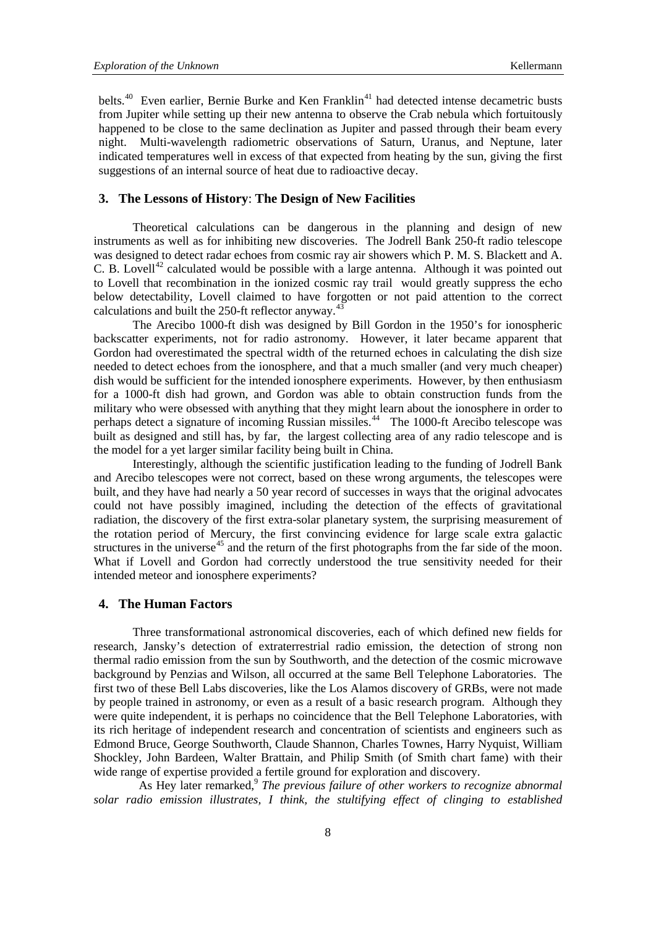belts.<sup>40</sup> Even earlier, Bernie Burke and Ken Franklin<sup>[41](#page-11-0)</sup> had detected intense decametric busts from Jupiter while setting up their new antenna to observe the Crab nebula which fortuitously happened to be close to the same declination as Jupiter and passed through their beam every night. Multi-wavelength radiometric observations of Saturn, Uranus, and Neptune, later indicated temperatures well in excess of that expected from heating by the sun, giving the first suggestions of an internal source of heat due to radioactive decay.

## **3. The Lessons of History**: **The Design of New Facilities**

Theoretical calculations can be dangerous in the planning and design of new instruments as well as for inhibiting new discoveries. The Jodrell Bank 250-ft radio telescope was designed to detect radar echoes from cosmic ray air showers which P. M. S. Blackett and A. C. B. Lovell<sup>[42](#page-11-1)</sup> calculated would be possible with a large antenna. Although it was pointed out to Lovell that recombination in the ionized cosmic ray trail would greatly suppress the echo below detectability, Lovell claimed to have forgotten or not paid attention to the correct calculations and built the 250-ft reflector anyway.<sup>[43](#page-11-2)</sup>

The Arecibo 1000-ft dish was designed by Bill Gordon in the 1950's for ionospheric backscatter experiments, not for radio astronomy. However, it later became apparent that Gordon had overestimated the spectral width of the returned echoes in calculating the dish size needed to detect echoes from the ionosphere, and that a much smaller (and very much cheaper) dish would be sufficient for the intended ionosphere experiments. However, by then enthusiasm for a 1000-ft dish had grown, and Gordon was able to obtain construction funds from the military who were obsessed with anything that they might learn about the ionosphere in order to perhaps detect a signature of incoming Russian missiles.<sup>[44](#page-11-3)</sup> The 1000-ft Arecibo telescope was built as designed and still has, by far, the largest collecting area of any radio telescope and is the model for a yet larger similar facility being built in China.

Interestingly, although the scientific justification leading to the funding of Jodrell Bank and Arecibo telescopes were not correct, based on these wrong arguments, the telescopes were built, and they have had nearly a 50 year record of successes in ways that the original advocates could not have possibly imagined, including the detection of the effects of gravitational radiation, the discovery of the first extra-solar planetary system, the surprising measurement of the rotation period of Mercury, the first convincing evidence for large scale extra galactic structures in the universe<sup>[45](#page-11-4)</sup> and the return of the first photographs from the far side of the moon. What if Lovell and Gordon had correctly understood the true sensitivity needed for their intended meteor and ionosphere experiments?

#### **4. The Human Factors**

Three transformational astronomical discoveries, each of which defined new fields for research, Jansky's detection of extraterrestrial radio emission, the detection of strong non thermal radio emission from the sun by Southworth, and the detection of the cosmic microwave background by Penzias and Wilson, all occurred at the same Bell Telephone Laboratories. The first two of these Bell Labs discoveries, like the Los Alamos discovery of GRBs, were not made by people trained in astronomy, or even as a result of a basic research program. Although they were quite independent, it is perhaps no coincidence that the Bell Telephone Laboratories, with its rich heritage of independent research and concentration of scientists and engineers such as Edmond Bruce, George Southworth, Claude Shannon, Charles Townes, Harry Nyquist, William Shockley, John Bardeen, Walter Brattain, and Philip Smith (of Smith chart fame) with their wide range of expertise provided a fertile ground for exploration and discovery.

As Hey later remarked,<sup>9</sup> *The previous failure of other workers to recognize abnormal solar radio emission illustrates, I think, the stultifying effect of clinging to established*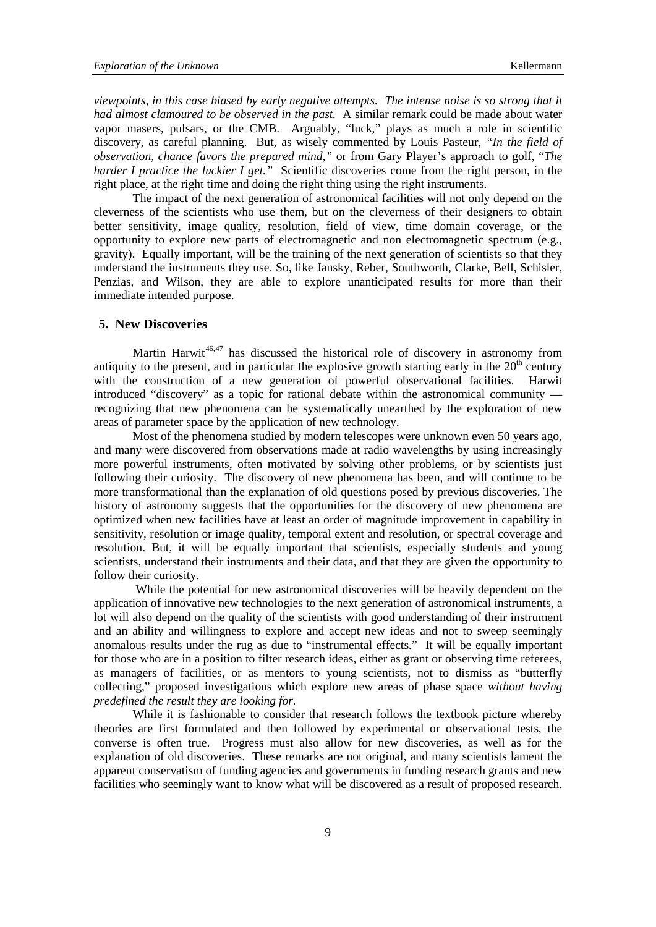*viewpoints, in this case biased by early negative attempts. The intense noise is so strong that it had almost clamoured to be observed in the past.* A similar remark could be made about water vapor masers, pulsars, or the CMB. Arguably, "luck," plays as much a role in scientific discovery, as careful planning. But, as wisely commented by Louis Pasteur, *"In the field of observation, chance favors the prepared mind,"* or from Gary Player's approach to golf, "*The harder I practice the luckier I get.*" Scientific discoveries come from the right person, in the right place, at the right time and doing the right thing using the right instruments.

The impact of the next generation of astronomical facilities will not only depend on the cleverness of the scientists who use them, but on the cleverness of their designers to obtain better sensitivity, image quality, resolution, field of view, time domain coverage, or the opportunity to explore new parts of electromagnetic and non electromagnetic spectrum (e.g., gravity). Equally important, will be the training of the next generation of scientists so that they understand the instruments they use. So, like Jansky, Reber, Southworth, Clarke, Bell, Schisler, Penzias, and Wilson, they are able to explore unanticipated results for more than their immediate intended purpose.

#### **5. New Discoveries**

Martin Harwit<sup>[46,](#page-11-5)[47](#page-11-6)</sup> has discussed the historical role of discovery in astronomy from antiquity to the present, and in particular the explosive growth starting early in the  $20<sup>th</sup>$  century with the construction of a new generation of powerful observational facilities. Harwit introduced "discovery" as a topic for rational debate within the astronomical community recognizing that new phenomena can be systematically unearthed by the exploration of new areas of parameter space by the application of new technology.

Most of the phenomena studied by modern telescopes were unknown even 50 years ago, and many were discovered from observations made at radio wavelengths by using increasingly more powerful instruments, often motivated by solving other problems, or by scientists just following their curiosity. The discovery of new phenomena has been, and will continue to be more transformational than the explanation of old questions posed by previous discoveries. The history of astronomy suggests that the opportunities for the discovery of new phenomena are optimized when new facilities have at least an order of magnitude improvement in capability in sensitivity, resolution or image quality, temporal extent and resolution, or spectral coverage and resolution. But, it will be equally important that scientists, especially students and young scientists, understand their instruments and their data, and that they are given the opportunity to follow their curiosity.

While the potential for new astronomical discoveries will be heavily dependent on the application of innovative new technologies to the next generation of astronomical instruments, a lot will also depend on the quality of the scientists with good understanding of their instrument and an ability and willingness to explore and accept new ideas and not to sweep seemingly anomalous results under the rug as due to "instrumental effects." It will be equally important for those who are in a position to filter research ideas, either as grant or observing time referees, as managers of facilities, or as mentors to young scientists, not to dismiss as "butterfly collecting," proposed investigations which explore new areas of phase space *without having predefined the result they are looking for.* 

While it is fashionable to consider that research follows the textbook picture whereby theories are first formulated and then followed by experimental or observational tests, the converse is often true. Progress must also allow for new discoveries, as well as for the explanation of old discoveries. These remarks are not original, and many scientists lament the apparent conservatism of funding agencies and governments in funding research grants and new facilities who seemingly want to know what will be discovered as a result of proposed research.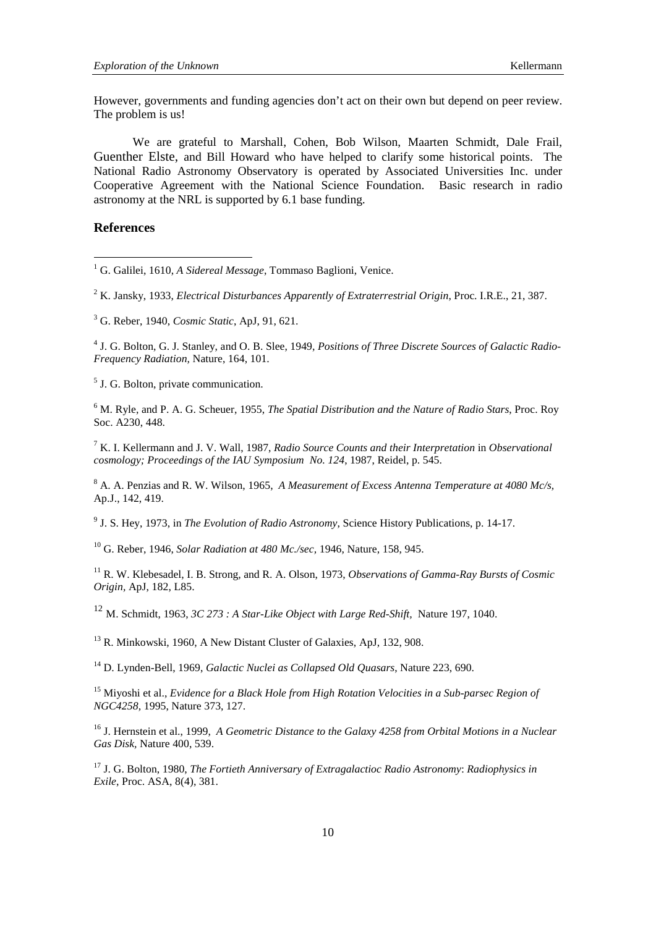However, governments and funding agencies don't act on their own but depend on peer review. The problem is us!

We are grateful to Marshall, Cohen, Bob Wilson, Maarten Schmidt, Dale Frail, Guenther Elste, and Bill Howard who have helped to clarify some historical points. The National Radio Astronomy Observatory is operated by Associated Universities Inc. under Cooperative Agreement with the National Science Foundation. Basic research in radio astronomy at the NRL is supported by 6.1 base funding.

#### **References**

<span id="page-9-3"></span><sup>4</sup> J. G. Bolton, G. J. Stanley, and O. B. Slee, 1949, *Positions of Three Discrete Sources of Galactic Radio-Frequency Radiation,* Nature, 164, 101.

<span id="page-9-4"></span><sup>5</sup> J. G. Bolton, private communication.

<span id="page-9-5"></span><sup>6</sup> M. Ryle, and P. A. G. Scheuer, 1955, *The Spatial Distribution and the Nature of Radio Stars*, Proc. Roy Soc. A230, 448.

<span id="page-9-6"></span><sup>7</sup> K. I. Kellermann and J. V. Wall, 1987, *Radio Source Counts and their Interpretation* in *Observational cosmology; Proceedings of the IAU Symposium No. 124*, 1987, Reidel, p. 545.

<span id="page-9-7"></span><sup>8</sup> A. A. Penzias and R. W. Wilson, 1965, *A Measurement of Excess Antenna Temperature at 4080 Mc/s,* Ap.J., 142, 419.

<span id="page-9-8"></span><sup>9</sup> J. S. Hey, 1973, in *The Evolution of Radio Astronomy*, Science History Publications, p. 14-17.

<span id="page-9-9"></span><sup>10</sup> G. Reber, 1946, *Solar Radiation at 480 Mc./sec,* 1946, Nature, 158, 945.

<span id="page-9-10"></span><sup>11</sup> R. W. Klebesadel, I. B. Strong, and R. A. Olson, 1973, *Observations of Gamma-Ray Bursts of Cosmic Origin,* ApJ, 182, L85.

<span id="page-9-11"></span><sup>12</sup> M. Schmidt, 1963, *3C 273 : A Star-Like Object with Large Red-Shift,* Nature 197, 1040.

<span id="page-9-12"></span><sup>13</sup> R. Minkowski, 1960, A New Distant Cluster of Galaxies, ApJ, 132, 908.

<span id="page-9-13"></span><sup>14</sup> D. Lynden-Bell, 1969, *Galactic Nuclei as Collapsed Old Quasars*, Nature 223, 690.

<span id="page-9-14"></span><sup>15</sup> Miyoshi et al., *Evidence for a Black Hole from High Rotation Velocities in a Sub-parsec Region of NGC4258,* 1995, Nature 373, 127.

<span id="page-9-15"></span><sup>16</sup> J. Hernstein et al., 1999, *A Geometric Distance to the Galaxy 4258 from Orbital Motions in a Nuclear Gas Disk,* Nature 400, 539.

<span id="page-9-16"></span><sup>17</sup> J. G. Bolton, 1980, *The Fortieth Anniversary of Extragalactioc Radio Astronomy*: *Radiophysics in Exile*, Proc. ASA, 8(4), 381.

<span id="page-9-0"></span><sup>&</sup>lt;sup>1</sup> G. Galilei, 1610, *A Sidereal Message*, Tommaso Baglioni, Venice.

<span id="page-9-1"></span><sup>2</sup> K. Jansky, 1933, *Electrical Disturbances Apparently of Extraterrestrial Origin*, Proc. I.R.E., 21, 387.

<span id="page-9-2"></span><sup>3</sup> G. Reber, 1940, *Cosmic Static*, ApJ, 91, 621.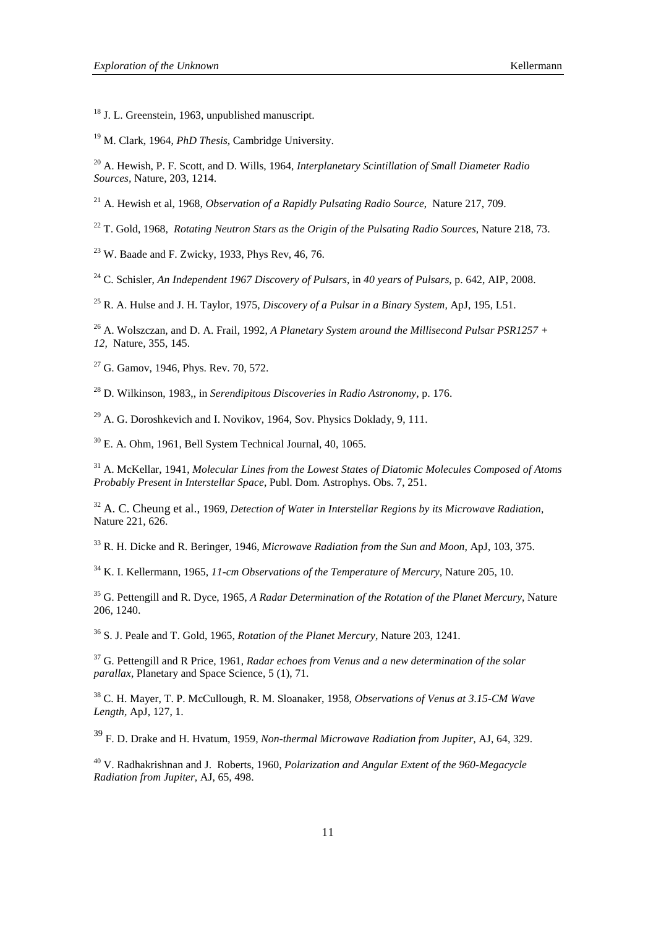<span id="page-10-0"></span><sup>18</sup> J. L. Greenstein, 1963, unpublished manuscript.

<span id="page-10-1"></span>M. Clark, 1964, *PhD Thesis*, Cambridge University.

<span id="page-10-2"></span> A. Hewish, P. F. Scott, and D. Wills, 1964, *Interplanetary Scintillation of Small Diameter Radio Sources,* Nature, 203, 1214.

<span id="page-10-3"></span>A. Hewish et al, 1968, *Observation of a Rapidly Pulsating Radio Source*, Nature 217, 709.

<span id="page-10-4"></span>T. Gold, 1968, *Rotating Neutron Stars as the Origin of the Pulsating Radio Sources,* Nature 218, 73.

<span id="page-10-5"></span>W. Baade and F. Zwicky, 1933, Phys Rev, 46, 76.

<span id="page-10-6"></span>C. Schisler, *An Independent 1967 Discovery of Pulsars*, in *40 years of Pulsars*, p. 642, AIP, 2008.

<span id="page-10-7"></span>R. A. Hulse and J. H. Taylor, 1975, *Discovery of a Pulsar in a Binary System,* ApJ, 195, L51.

<span id="page-10-8"></span><sup>26</sup> A. Wolszczan, and D. A. Frail, 1992, *A Planetary System around the Millisecond Pulsar PSR1257* + *12,* Nature, 355, 145.

<span id="page-10-9"></span>G. Gamov, 1946, Phys. Rev. 70, 572.

<span id="page-10-10"></span>D. Wilkinson, 1983,, in *Serendipitous Discoveries in Radio Astronomy,* p. 176.

<span id="page-10-11"></span> $^{29}$  A. G. Doroshkevich and I. Novikov, 1964, Sov. Physics Doklady, 9, 111.

<span id="page-10-12"></span>E. A. Ohm, 1961, Bell System Technical Journal, 40, 1065.

<span id="page-10-13"></span> A. McKellar, 1941, *Molecular Lines from the Lowest States of Diatomic Molecules Composed of Atoms Probably Present in Interstellar Space*, Publ. Dom. Astrophys. Obs. 7, 251.

<span id="page-10-14"></span> A. C. Cheung et al., 1969, *Detection of Water in Interstellar Regions by its Microwave Radiation,*  Nature 221, 626.

<span id="page-10-15"></span>R. H. Dicke and R. Beringer, 1946, *Microwave Radiation from the Sun and Moon*, ApJ, 103, 375.

<span id="page-10-16"></span>K. I. Kellermann, 1965, *11-cm Observations of the Temperature of Mercury,* Nature 205, 10.

<span id="page-10-17"></span> G. Pettengill and R. Dyce, 1965, *A Radar Determination of the Rotation of the Planet Mercury,* Nature 206, 1240.

<span id="page-10-18"></span>S. J. Peale and T. Gold, 1965, *Rotation of the Planet Mercury*, Nature 203, 1241.

<span id="page-10-19"></span> G. Pettengill and R Price, 1961, *Radar echoes from Venus and a new determination of the solar parallax,* Planetary and Space Science, 5 (1), 71.

<span id="page-10-20"></span> C. H. Mayer, T. P. McCullough, R. M. Sloanaker, 1958, *Observations of Venus at 3.15-CM Wave Length,* ApJ, 127, 1.

<span id="page-10-21"></span>F. D. Drake and H. Hvatum, 1959, *Non-thermal Microwave Radiation from Jupiter,* AJ, 64, 329.

<span id="page-10-22"></span> V. Radhakrishnan and J. Roberts, 1960, *Polarization and Angular Extent of the 960-Megacycle Radiation from Jupiter,* AJ, 65, 498.